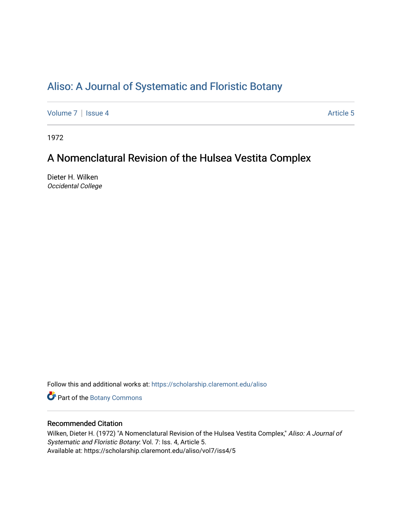# [Aliso: A Journal of Systematic and Floristic Botany](https://scholarship.claremont.edu/aliso)

[Volume 7](https://scholarship.claremont.edu/aliso/vol7) | [Issue 4](https://scholarship.claremont.edu/aliso/vol7/iss4) Article 5

1972

## A Nomenclatural Revision of the Hulsea Vestita Complex

Dieter H. Wilken Occidental College

Follow this and additional works at: [https://scholarship.claremont.edu/aliso](https://scholarship.claremont.edu/aliso?utm_source=scholarship.claremont.edu%2Faliso%2Fvol7%2Fiss4%2F5&utm_medium=PDF&utm_campaign=PDFCoverPages) 

Part of the [Botany Commons](https://network.bepress.com/hgg/discipline/104?utm_source=scholarship.claremont.edu%2Faliso%2Fvol7%2Fiss4%2F5&utm_medium=PDF&utm_campaign=PDFCoverPages) 

## Recommended Citation

Wilken, Dieter H. (1972) "A Nomenclatural Revision of the Hulsea Vestita Complex," Aliso: A Journal of Systematic and Floristic Botany: Vol. 7: Iss. 4, Article 5. Available at: https://scholarship.claremont.edu/aliso/vol7/iss4/5